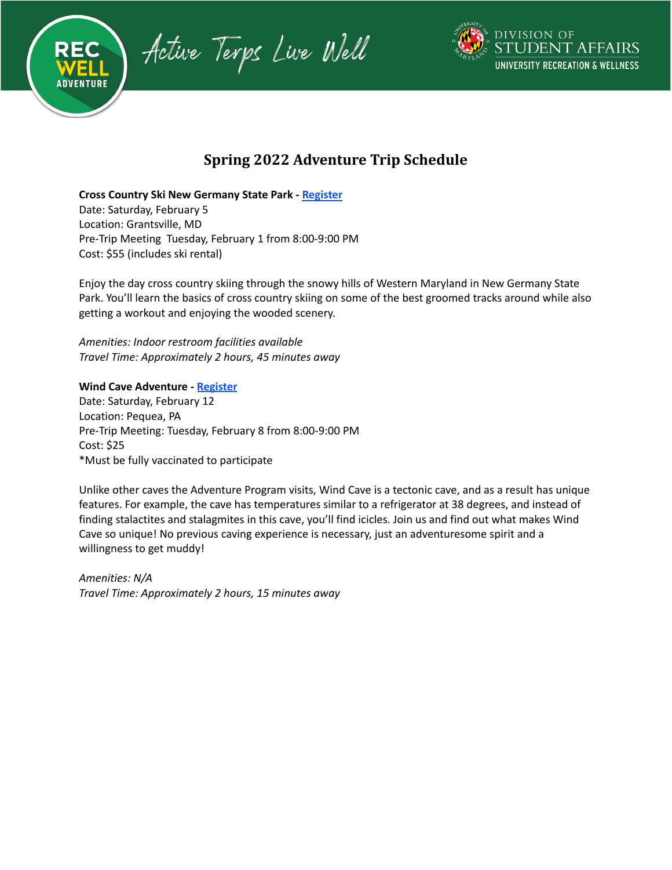



# **Spring 2022 Adventure Trip Schedule**

**Cross Country Ski New Germany State Park - [Register](https://activeterp.umd.edu/Program/GetProgramDetails?courseId=b66609c0-07f0-4646-b148-c1d19fb588ce&semesterId=6f6bef96-791a-4efa-b5a5-4d364adbb514)**

Date: Saturday, February 5 Location: Grantsville, MD Pre-Trip Meeting Tuesday, February 1 from 8:00-9:00 PM Cost: \$55 (includes ski rental)

Enjoy the day cross country skiing through the snowy hills of Western Maryland in New Germany State Park. You'll learn the basics of cross country skiing on some of the best groomed tracks around while also getting a workout and enjoying the wooded scenery.

*Amenities: Indoor restroom facilities available Travel Time: Approximately 2 hours, 45 minutes away*

# **Wind Cave Adventure - [Register](https://activeterp.umd.edu/Program/GetProgramDetails?courseId=f5d4b172-c678-497c-b2bb-425a81ee27b4&semesterId=6f6bef96-791a-4efa-b5a5-4d364adbb514)**

Date: Saturday, February 12 Location: Pequea, PA Pre-Trip Meeting: Tuesday, February 8 from 8:00-9:00 PM Cost: \$25 \*Must be fully vaccinated to participate

Unlike other caves the Adventure Program visits, Wind Cave is a tectonic cave, and as a result has unique features. For example, the cave has temperatures similar to a refrigerator at 38 degrees, and instead of finding stalactites and stalagmites in this cave, you'll find icicles. Join us and find out what makes Wind Cave so unique! No previous caving experience is necessary, just an adventuresome spirit and a willingness to get muddy!

*Amenities: N/A Travel Time: Approximately 2 hours, 15 minutes away*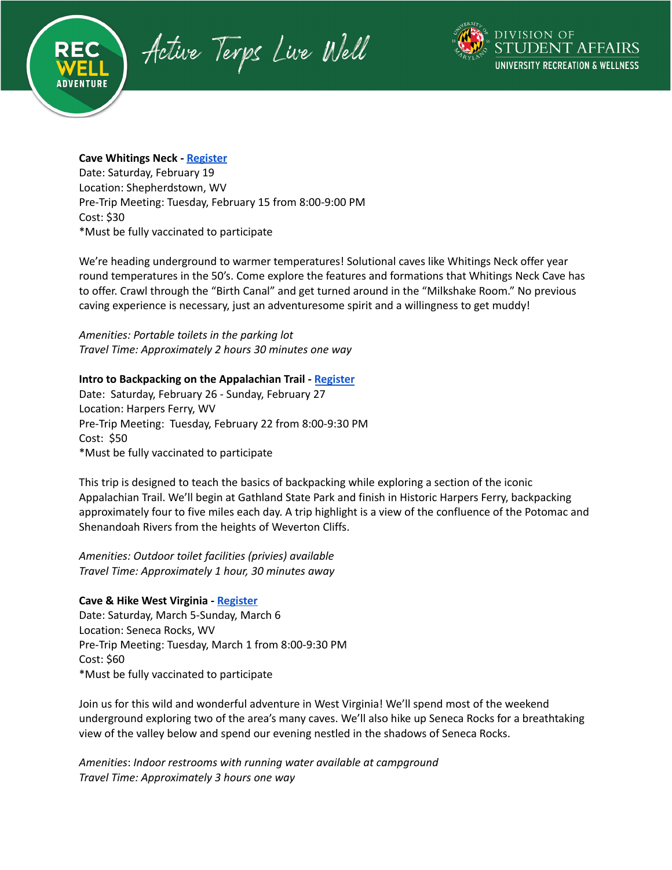Active Terps Live Well



### **Cave Whitings Neck - [Register](https://activeterp.umd.edu/Program/GetProgramDetails?courseId=0ac28781-630f-4d89-9f32-6d7321182dbd&semesterId=6f6bef96-791a-4efa-b5a5-4d364adbb514)**

Date: Saturday, February 19 Location: Shepherdstown, WV Pre-Trip Meeting: Tuesday, February 15 from 8:00-9:00 PM Cost: \$30 \*Must be fully vaccinated to participate

We're heading underground to warmer temperatures! Solutional caves like Whitings Neck offer year round temperatures in the 50's. Come explore the features and formations that Whitings Neck Cave has to offer. Crawl through the "Birth Canal" and get turned around in the "Milkshake Room." No previous caving experience is necessary, just an adventuresome spirit and a willingness to get muddy!

*Amenities: Portable toilets in the parking lot Travel Time: Approximately 2 hours 30 minutes one way*

### **Intro to Backpacking on the Appalachian Trail - [Register](https://activeterp.umd.edu/Program/GetProgramDetails?courseId=12f3afac-8092-4486-8462-d4bf3693be6d&semesterId=6f6bef96-791a-4efa-b5a5-4d364adbb514)**

Date: Saturday, February 26 - Sunday, February 27 Location: Harpers Ferry, WV Pre-Trip Meeting: Tuesday, February 22 from 8:00-9:30 PM Cost: \$50 \*Must be fully vaccinated to participate

This trip is designed to teach the basics of backpacking while exploring a section of the iconic Appalachian Trail. We'll begin at Gathland State Park and finish in Historic Harpers Ferry, backpacking approximately four to five miles each day. A trip highlight is a view of the confluence of the Potomac and Shenandoah Rivers from the heights of Weverton Cliffs.

*Amenities: Outdoor toilet facilities (privies) available Travel Time: Approximately 1 hour, 30 minutes away*

### **Cave & Hike West Virginia - [Register](https://activeterp.umd.edu/Program/GetProgramDetails?courseId=66de181a-e4d2-4811-bc50-378fdb6f232e&semesterId=6f6bef96-791a-4efa-b5a5-4d364adbb514)**

Date: Saturday, March 5-Sunday, March 6 Location: Seneca Rocks, WV Pre-Trip Meeting: Tuesday, March 1 from 8:00-9:30 PM Cost: \$60 \*Must be fully vaccinated to participate

Join us for this wild and wonderful adventure in West Virginia! We'll spend most of the weekend underground exploring two of the area's many caves. We'll also hike up Seneca Rocks for a breathtaking view of the valley below and spend our evening nestled in the shadows of Seneca Rocks.

*Amenities*: *Indoor restrooms with running water available at campground Travel Time: Approximately 3 hours one way*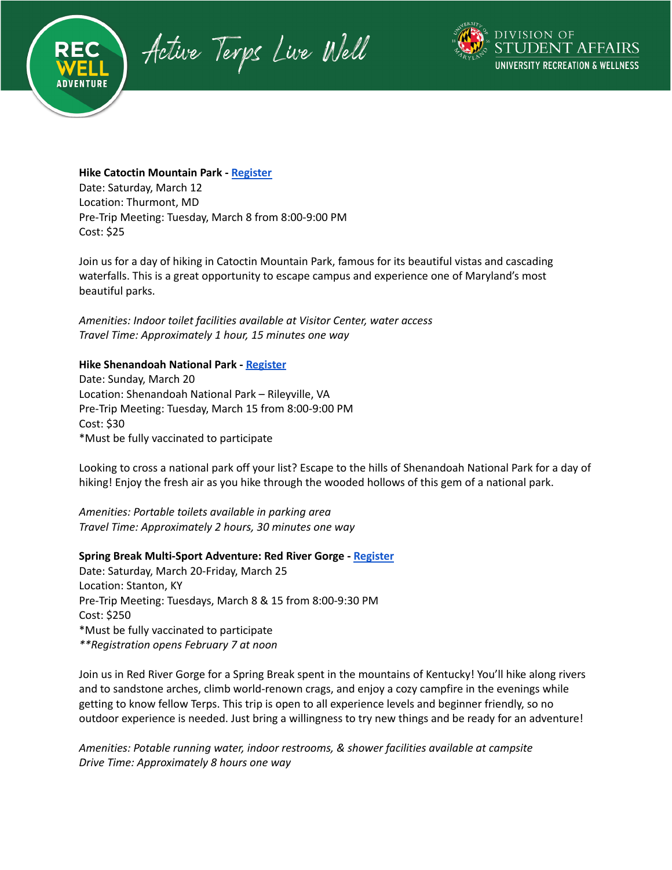Active Terps Live Well



**Hike Catoctin Mountain Park - [Register](https://activeterp.umd.edu/Program/GetProgramDetails?courseId=df5a4c1a-2b3b-4954-8c9a-4e2f40b94fa9&semesterId=6f6bef96-791a-4efa-b5a5-4d364adbb514)**

Date: Saturday, March 12 Location: Thurmont, MD Pre-Trip Meeting: Tuesday, March 8 from 8:00-9:00 PM Cost: \$25

Join us for a day of hiking in Catoctin Mountain Park, famous for its beautiful vistas and cascading waterfalls. This is a great opportunity to escape campus and experience one of Maryland's most beautiful parks.

*Amenities: Indoor toilet facilities available at Visitor Center, water access Travel Time: Approximately 1 hour, 15 minutes one way*

### **Hike Shenandoah National Park - [Register](https://activeterp.umd.edu/Program/GetProgramDetails?courseId=6ad0b9ce-8f93-4939-8d9f-8d60edfdc8f0&semesterId=6f6bef96-791a-4efa-b5a5-4d364adbb514)**

Date: Sunday, March 20 Location: Shenandoah National Park – Rileyville, VA Pre-Trip Meeting: Tuesday, March 15 from 8:00-9:00 PM Cost: \$30 \*Must be fully vaccinated to participate

Looking to cross a national park off your list? Escape to the hills of Shenandoah National Park for a day of hiking! Enjoy the fresh air as you hike through the wooded hollows of this gem of a national park.

*Amenities: Portable toilets available in parking area Travel Time: Approximately 2 hours, 30 minutes one way*

**Spring Break Multi-Sport Adventure: Red River Gorge - [Register](https://activeterp.umd.edu/Program/GetProgramDetails?courseId=c0ad5fd8-7fa1-4f98-895a-85115b1200de&semesterId=6f6bef96-791a-4efa-b5a5-4d364adbb514)** Date: Saturday, March 20-Friday, March 25 Location: Stanton, KY Pre-Trip Meeting: Tuesdays, March 8 & 15 from 8:00-9:30 PM Cost: \$250 \*Must be fully vaccinated to participate *\*\*Registration opens February 7 at noon*

Join us in Red River Gorge for a Spring Break spent in the mountains of Kentucky! You'll hike along rivers and to sandstone arches, climb world-renown crags, and enjoy a cozy campfire in the evenings while getting to know fellow Terps. This trip is open to all experience levels and beginner friendly, so no outdoor experience is needed. Just bring a willingness to try new things and be ready for an adventure!

*Amenities: Potable running water, indoor restrooms, & shower facilities available at campsite Drive Time: Approximately 8 hours one way*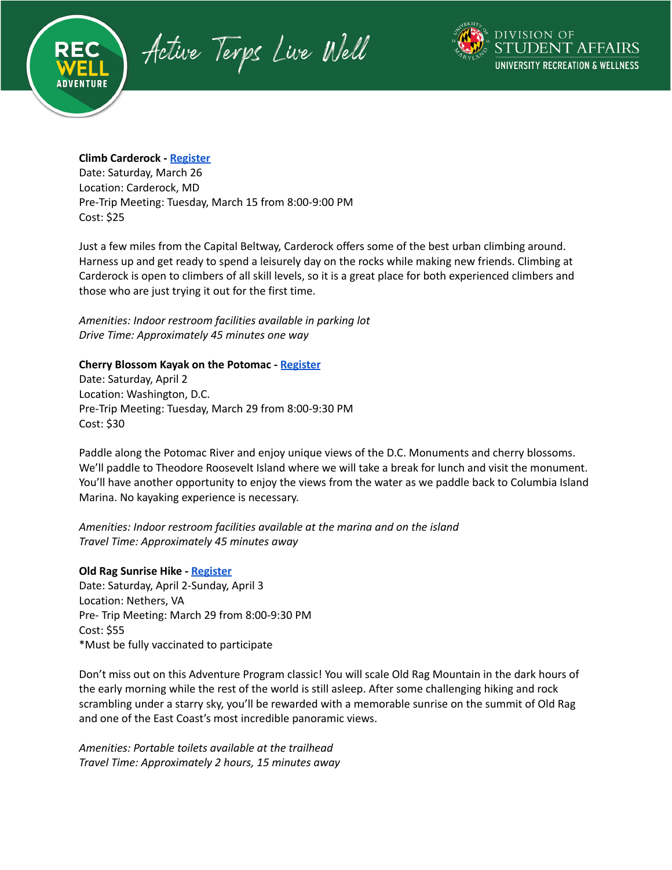Active Terps Live Well



### **Climb Carderock - [Register](https://activeterp.umd.edu/Program/GetProgramDetails?courseId=a795663d-e7bf-46f7-9c57-c91ac1d70f16&semesterId=6f6bef96-791a-4efa-b5a5-4d364adbb514)**

Date: Saturday, March 26 Location: Carderock, MD Pre-Trip Meeting: Tuesday, March 15 from 8:00-9:00 PM Cost: \$25

Just a few miles from the Capital Beltway, Carderock offers some of the best urban climbing around. Harness up and get ready to spend a leisurely day on the rocks while making new friends. Climbing at Carderock is open to climbers of all skill levels, so it is a great place for both experienced climbers and those who are just trying it out for the first time.

*Amenities: Indoor restroom facilities available in parking lot Drive Time: Approximately 45 minutes one way*

### **Cherry Blossom Kayak on the Potomac - [Register](https://activeterp.umd.edu/Program/GetProgramDetails?courseId=8df1ed58-f4a9-424c-9698-098bcd773917&semesterId=6f6bef96-791a-4efa-b5a5-4d364adbb514)**

Date: Saturday, April 2 Location: Washington, D.C. Pre-Trip Meeting: Tuesday, March 29 from 8:00-9:30 PM Cost: \$30

Paddle along the Potomac River and enjoy unique views of the D.C. Monuments and cherry blossoms. We'll paddle to Theodore Roosevelt Island where we will take a break for lunch and visit the monument. You'll have another opportunity to enjoy the views from the water as we paddle back to Columbia Island Marina. No kayaking experience is necessary.

*Amenities: Indoor restroom facilities available at the marina and on the island Travel Time: Approximately 45 minutes away*

### **Old Rag Sunrise Hike - [Register](https://activeterp.umd.edu/Program/GetProgramDetails?courseId=83022c31-b62f-40d1-ab73-f2514ee00f2a&semesterId=6f6bef96-791a-4efa-b5a5-4d364adbb514)**

Date: Saturday, April 2-Sunday, April 3 Location: Nethers, VA Pre- Trip Meeting: March 29 from 8:00-9:30 PM Cost: \$55 \*Must be fully vaccinated to participate

Don't miss out on this Adventure Program classic! You will scale Old Rag Mountain in the dark hours of the early morning while the rest of the world is still asleep. After some challenging hiking and rock scrambling under a starry sky, you'll be rewarded with a memorable sunrise on the summit of Old Rag and one of the East Coast's most incredible panoramic views.

*Amenities: Portable toilets available at the trailhead Travel Time: Approximately 2 hours, 15 minutes away*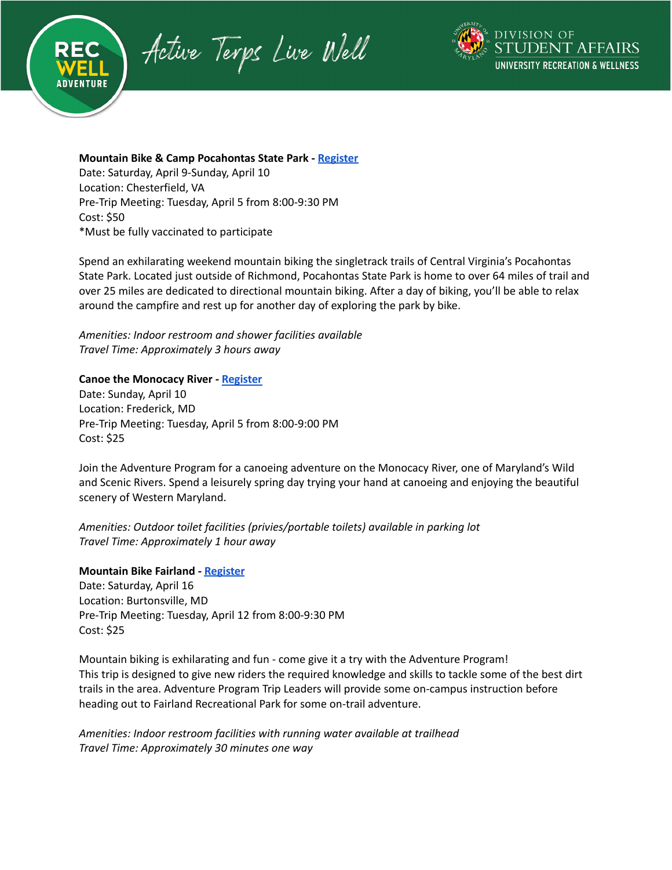Active Terps Live Well



# **Mountain Bike & Camp Pocahontas State Park - [Register](https://activeterp.umd.edu/Program/GetProgramDetails?courseId=1fb6ca62-b813-48d3-af9d-a3bbd3174d97&semesterId=6f6bef96-791a-4efa-b5a5-4d364adbb514)**

Date: Saturday, April 9-Sunday, April 10 Location: Chesterfield, VA Pre-Trip Meeting: Tuesday, April 5 from 8:00-9:30 PM Cost: \$50 \*Must be fully vaccinated to participate

Spend an exhilarating weekend mountain biking the singletrack trails of Central Virginia's Pocahontas State Park. Located just outside of Richmond, Pocahontas State Park is home to over 64 miles of trail and over 25 miles are dedicated to directional mountain biking. After a day of biking, you'll be able to relax around the campfire and rest up for another day of exploring the park by bike.

*Amenities: Indoor restroom and shower facilities available Travel Time: Approximately 3 hours away*

### **Canoe the Monocacy River - [Register](https://activeterp.umd.edu/Program/GetProgramDetails?courseId=f7de8237-6bee-459b-a6bc-9a9c6b4ff020&semesterId=6f6bef96-791a-4efa-b5a5-4d364adbb514)**

Date: Sunday, April 10 Location: Frederick, MD Pre-Trip Meeting: Tuesday, April 5 from 8:00-9:00 PM Cost: \$25

Join the Adventure Program for a canoeing adventure on the Monocacy River, one of Maryland's Wild and Scenic Rivers. Spend a leisurely spring day trying your hand at canoeing and enjoying the beautiful scenery of Western Maryland.

*Amenities: Outdoor toilet facilities (privies/portable toilets) available in parking lot Travel Time: Approximately 1 hour away*

### **Mountain Bike Fairland - [Register](https://activeterp.umd.edu/Program/GetProgramDetails?courseId=f83ab28a-b92d-486b-b3d1-2c396d8df2a4&semesterId=6f6bef96-791a-4efa-b5a5-4d364adbb514)**

Date: Saturday, April 16 Location: Burtonsville, MD Pre-Trip Meeting: Tuesday, April 12 from 8:00-9:30 PM Cost: \$25

Mountain biking is exhilarating and fun - come give it a try with the Adventure Program! This trip is designed to give new riders the required knowledge and skills to tackle some of the best dirt trails in the area. Adventure Program Trip Leaders will provide some on-campus instruction before heading out to Fairland Recreational Park for some on-trail adventure.

*Amenities: Indoor restroom facilities with running water available at trailhead Travel Time: Approximately 30 minutes one way*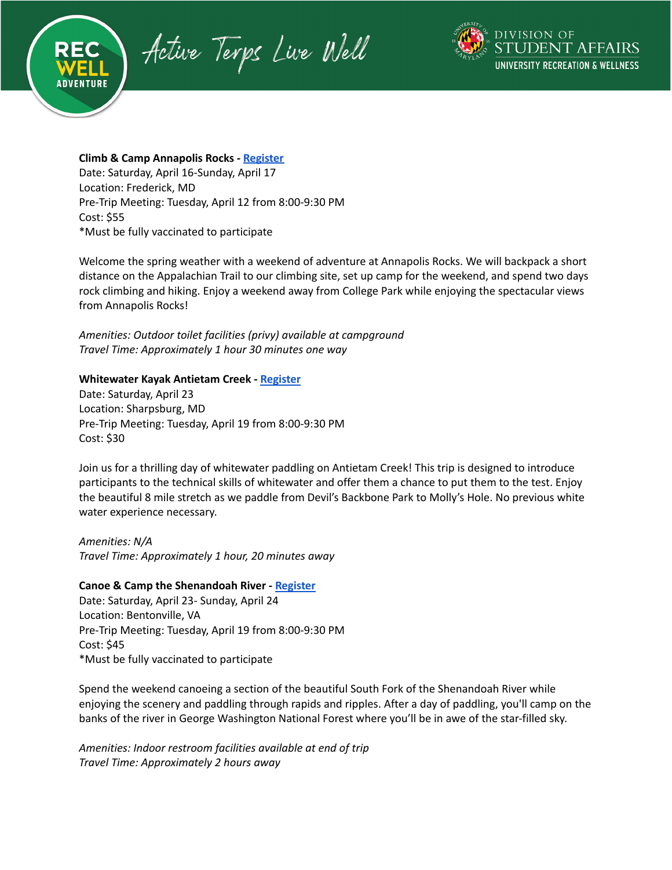Active Terps Live Well



# **Climb & Camp Annapolis Rocks - [Register](https://activeterp.umd.edu/Program/GetProgramDetails?courseId=f0de1b34-7e70-4575-807d-33c1097e641f&semesterId=6f6bef96-791a-4efa-b5a5-4d364adbb514)** Date: Saturday, April 16-Sunday, April 17 Location: Frederick, MD Pre-Trip Meeting: Tuesday, April 12 from 8:00-9:30 PM Cost: \$55

\*Must be fully vaccinated to participate

Welcome the spring weather with a weekend of adventure at Annapolis Rocks. We will backpack a short distance on the Appalachian Trail to our climbing site, set up camp for the weekend, and spend two days rock climbing and hiking. Enjoy a weekend away from College Park while enjoying the spectacular views from Annapolis Rocks!

*Amenities: Outdoor toilet facilities (privy) available at campground Travel Time: Approximately 1 hour 30 minutes one way*

### **Whitewater Kayak Antietam Creek - [Register](https://activeterp.umd.edu/Program/GetProgramDetails?courseId=8e7ef800-d098-4717-a74e-5e3d80878164&semesterId=6f6bef96-791a-4efa-b5a5-4d364adbb514)**

Date: Saturday, April 23 Location: Sharpsburg, MD Pre-Trip Meeting: Tuesday, April 19 from 8:00-9:30 PM Cost: \$30

Join us for a thrilling day of whitewater paddling on Antietam Creek! This trip is designed to introduce participants to the technical skills of whitewater and offer them a chance to put them to the test. Enjoy the beautiful 8 mile stretch as we paddle from Devil's Backbone Park to Molly's Hole. No previous white water experience necessary.

*Amenities: N/A Travel Time: Approximately 1 hour, 20 minutes away*

### **Canoe & Camp the Shenandoah River - [Register](https://activeterp.umd.edu/Program/GetProgramDetails?courseId=67327441-75b5-4d25-9cb0-4756d9a44edd&semesterId=6f6bef96-791a-4efa-b5a5-4d364adbb514)**

Date: Saturday, April 23- Sunday, April 24 Location: Bentonville, VA Pre-Trip Meeting: Tuesday, April 19 from 8:00-9:30 PM Cost: \$45 \*Must be fully vaccinated to participate

Spend the weekend canoeing a section of the beautiful South Fork of the Shenandoah River while enjoying the scenery and paddling through rapids and ripples. After a day of paddling, you'll camp on the banks of the river in George Washington National Forest where you'll be in awe of the star-filled sky.

*Amenities: Indoor restroom facilities available at end of trip Travel Time: Approximately 2 hours away*